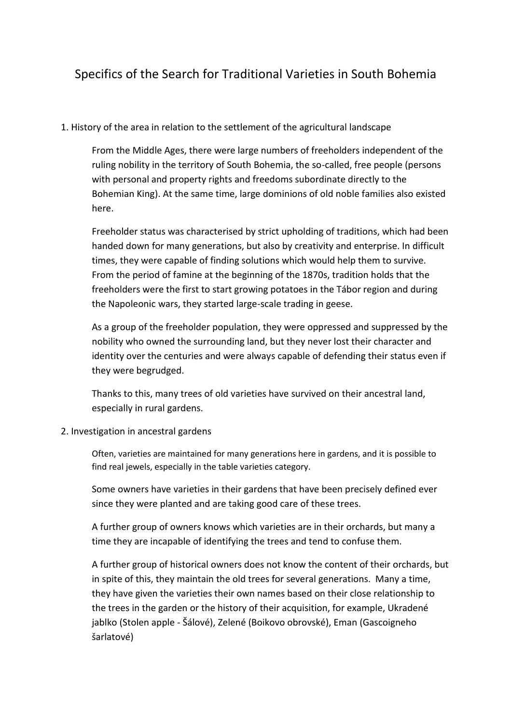## Specifics of the Search for Traditional Varieties in South Bohemia

1. History of the area in relation to the settlement of the agricultural landscape

From the Middle Ages, there were large numbers of freeholders independent of the ruling nobility in the territory of South Bohemia, the so-called, free people (persons with personal and property rights and freedoms subordinate directly to the Bohemian King). At the same time, large dominions of old noble families also existed here.

Freeholder status was characterised by strict upholding of traditions, which had been handed down for many generations, but also by creativity and enterprise. In difficult times, they were capable of finding solutions which would help them to survive. From the period of famine at the beginning of the 1870s, tradition holds that the freeholders were the first to start growing potatoes in the Tábor region and during the Napoleonic wars, they started large-scale trading in geese.

As a group of the freeholder population, they were oppressed and suppressed by the nobility who owned the surrounding land, but they never lost their character and identity over the centuries and were always capable of defending their status even if they were begrudged.

Thanks to this, many trees of old varieties have survived on their ancestral land, especially in rural gardens.

2. Investigation in ancestral gardens

Often, varieties are maintained for many generations here in gardens, and it is possible to find real jewels, especially in the table varieties category.

Some owners have varieties in their gardens that have been precisely defined ever since they were planted and are taking good care of these trees.

A further group of owners knows which varieties are in their orchards, but many a time they are incapable of identifying the trees and tend to confuse them.

A further group of historical owners does not know the content of their orchards, but in spite of this, they maintain the old trees for several generations. Many a time, they have given the varieties their own names based on their close relationship to the trees in the garden or the history of their acquisition, for example, Ukradené jablko (Stolen apple - Šálové), Zelené (Boikovo obrovské), Eman (Gascoigneho šarlatové)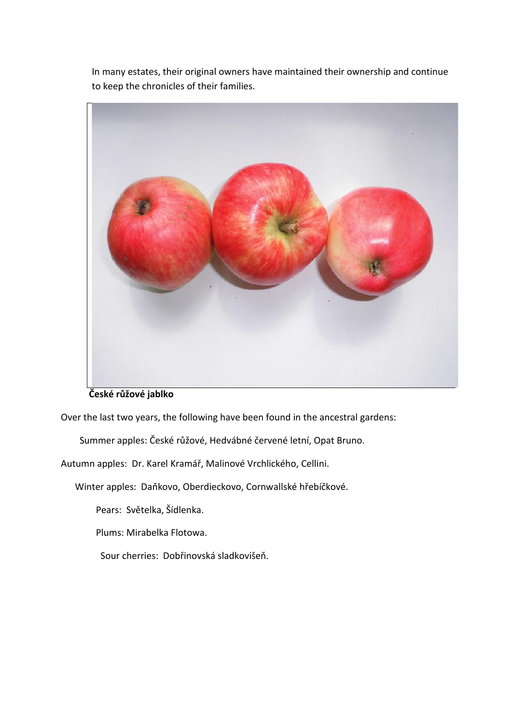In many estates, their original owners have maintained their ownership and continue to keep the chronicles of their families.



**České růžové jablko**

Over the last two years, the following have been found in the ancestral gardens:

Summer apples: České růžové, Hedvábné červené letní, Opat Bruno.

Autumn apples: Dr. Karel Kramář, Malinové Vrchlického, Cellini.

Winter apples: Daňkovo, Oberdieckovo, Cornwallské hřebíčkové.

Pears: Světelka, Šídlenka.

Plums: Mirabelka Flotowa.

Sour cherries: Dobřinovská sladkovišeň.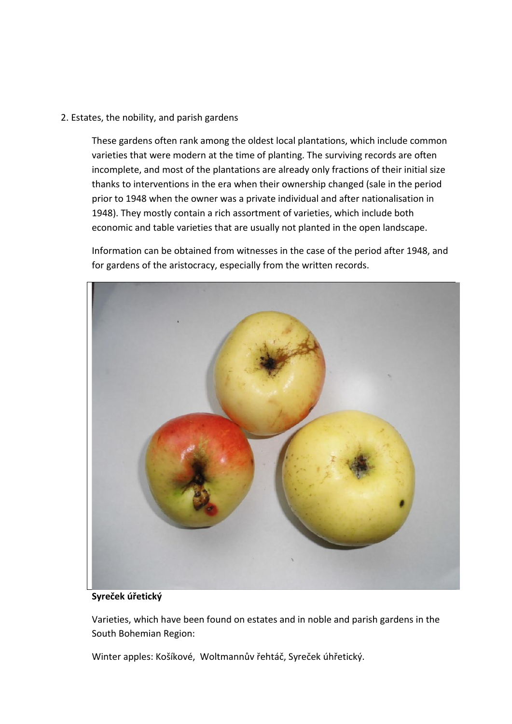## 2. Estates, the nobility, and parish gardens

These gardens often rank among the oldest local plantations, which include common varieties that were modern at the time of planting. The surviving records are often incomplete, and most of the plantations are already only fractions of their initial size thanks to interventions in the era when their ownership changed (sale in the period prior to 1948 when the owner was a private individual and after nationalisation in 1948). They mostly contain a rich assortment of varieties, which include both economic and table varieties that are usually not planted in the open landscape.

Information can be obtained from witnesses in the case of the period after 1948, and for gardens of the aristocracy, especially from the written records.



**Syreček úřetický**

Varieties, which have been found on estates and in noble and parish gardens in the South Bohemian Region:

Winter apples: Košíkové, Woltmannův řehtáč, Syreček úhřetický.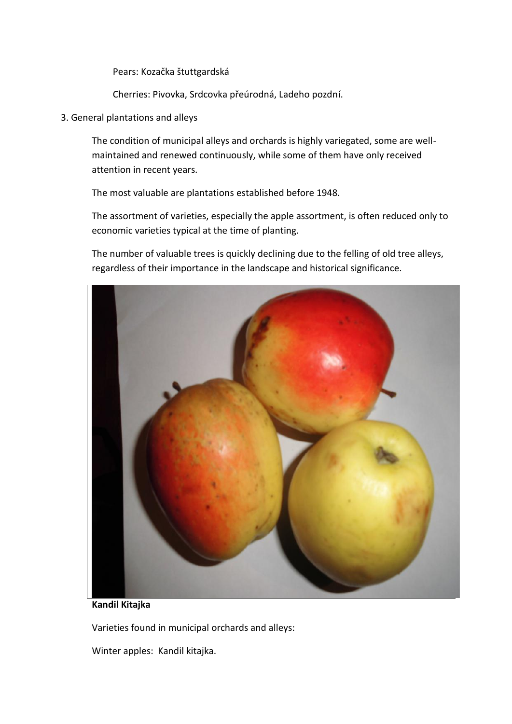Pears: Kozačka štuttgardská

Cherries: Pivovka, Srdcovka přeúrodná, Ladeho pozdní.

3. General plantations and alleys

The condition of municipal alleys and orchards is highly variegated, some are well maintained and renewed continuously, while some of them have only received attention in recent years.

The most valuable are plantations established before 1948.

The assortment of varieties, especially the apple assortment, is often reduced only to economic varieties typical at the time of planting.

The number of valuable trees is quickly declining due to the felling of old tree alleys, regardless of their importance in the landscape and historical significance.



**Kandil Kitajka**

Varieties found in municipal orchards and alleys:

Winter apples: Kandil kitajka.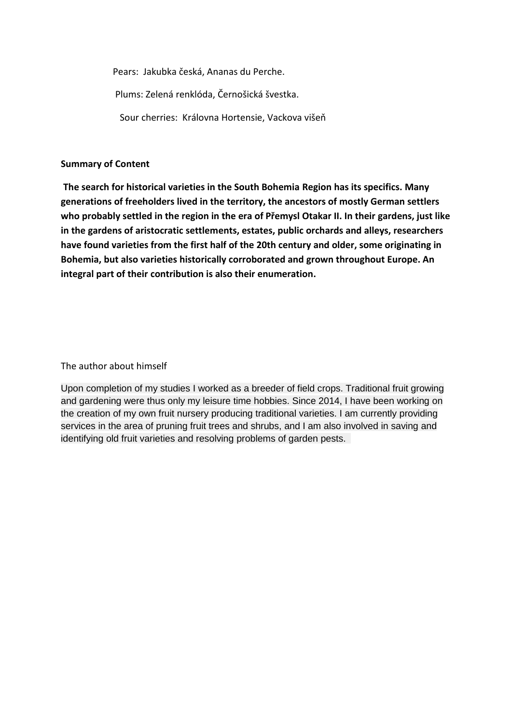Pears: Jakubka česká, Ananas du Perche.

Plums: Zelená renklóda, Černošická švestka.

Sour cherries: Královna Hortensie, Vackova višeň

## **Summary of Content**

**The search for historical varieties in the South Bohemia Region has its specifics. Many generations of freeholders lived in the territory, the ancestors of mostly German settlers who probably settled in the region in the era of Přemysl Otakar II. In their gardens, just like in the gardens of aristocratic settlements, estates, public orchards and alleys, researchers have found varieties from the first half of the 20th century and older, some originating in Bohemia, but also varieties historically corroborated and grown throughout Europe. An integral part of their contribution is also their enumeration.**

## The author about himself

Upon completion of my studies I worked as a breeder of field crops. Traditional fruit growing and gardening were thus only my leisure time hobbies. Since 2014, I have been working on the creation of my own fruit nursery producing traditional varieties. I am currently providing services in the area of pruning fruit trees and shrubs, and I am also involved in saving and identifying old fruit varieties and resolving problems of garden pests.